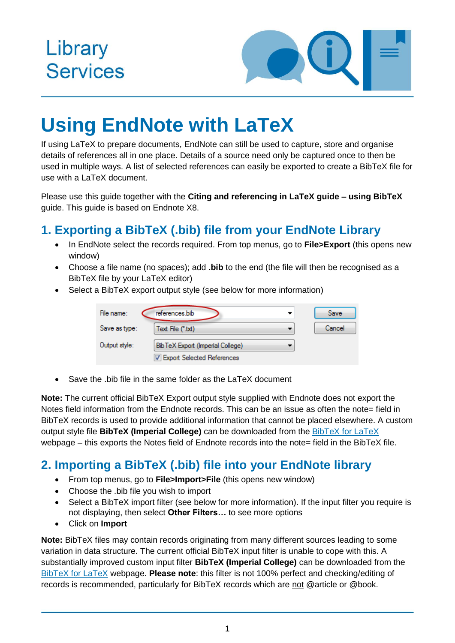## Library **Services**



# **Using EndNote with LaTeX**

If using LaTeX to prepare documents, EndNote can still be used to capture, store and organise details of references all in one place. Details of a source need only be captured once to then be used in multiple ways. A list of selected references can easily be exported to create a BibTeX file for use with a LaTeX document.

Please use this guide together with the **Citing and referencing in LaTeX guide – using BibTeX** guide. This guide is based on Endnote X8.

### **1. Exporting a BibTeX (.bib) file from your EndNote Library**

- In EndNote select the records required. From top menus, go to **File>Export** (this opens new window)
- Choose a file name (no spaces); add **.bib** to the end (the file will then be recognised as a BibTeX file by your LaTeX editor)
- Select a BibTeX export output style (see below for more information)

| File name:    | references.bib                   | Save   |
|---------------|----------------------------------|--------|
| Save as type: | Text File (*.txt)                | Cancel |
| Output style: | BibTeX Export (Imperial College) |        |
|               | V Export Selected References     |        |

Save the .bib file in the same folder as the LaTeX document

**Note:** The current official BibTeX Export output style supplied with Endnote does not export the Notes field information from the Endnote records. This can be an issue as often the note= field in BibTeX records is used to provide additional information that cannot be placed elsewhere. A custom output style file **BibTeX (Imperial College)** can be downloaded from the [BibTeX for LaTeX](https://www.imperial.ac.uk/admin-services/library/learning-support/reference-management/bibtex-for-latex/) webpage – this exports the Notes field of Endnote records into the note= field in the BibTeX file.

#### **2. Importing a BibTeX (.bib) file into your EndNote library**

- From top menus, go to **File>Import>File** (this opens new window)
- Choose the .bib file you wish to import
- Select a BibTeX import filter (see below for more information). If the input filter you require is not displaying, then select **Other Filters…** to see more options
- Click on **Import**

**Note:** BibTeX files may contain records originating from many different sources leading to some variation in data structure. The current official BibTeX input filter is unable to cope with this. A substantially improved custom input filter **BibTeX (Imperial College)** can be downloaded from the [BibTeX for LaTeX](https://www.imperial.ac.uk/admin-services/library/learning-support/reference-management/bibtex-for-latex/) webpage. **Please note**: this filter is not 100% perfect and checking/editing of records is recommended, particularly for BibTeX records which are not @article or @book.